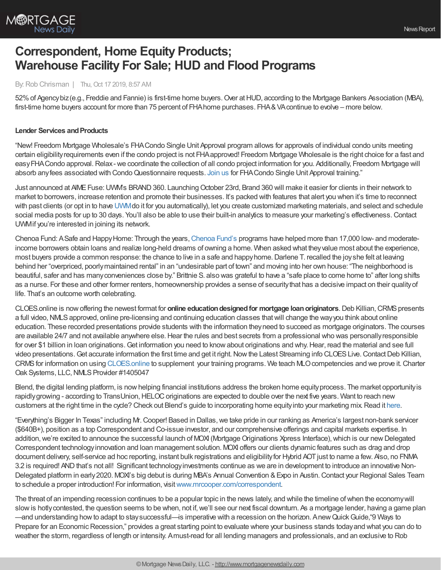

# **Correspondent, Home Equity Products; Warehouse Facility For Sale; HUD and Flood Programs**

## By: Rob Chrisman | Thu, Oct 17 2019, 8:57 AM

52%of Agencybiz(e.g., Freddie and Fannie) is first-time home buyers.Over atHUD, according to the Mortgage Bankers Association (MBA), first-time home buyers account for more than 75 percent of FHA home purchases. FHA&VA continue to evolve – more below.

#### **Lender Services and Products**

"New! Freedom Mortgage Wholesale's FHACondo Single Unit Approval program allows for approvals of individual condo units meeting certain eligibilityrequirements even if the condo project is not FHAapproved! Freedom Mortgage Wholesale is the right choice for a fast and easy FHA Condo approval. Relax - we coordinate the collection of all condo project information for you. Additionally, Freedom Mortgage will absorb any fees associated with Condo Questionnaire requests. [Join](https://freedom.zoom.us/meeting/register/b59c462a188ed597c5b9141539e44ee6) us for FHA Condo Single Unit Approval training."

Just announced at AIMEFuse:UWM's BRAND360. LaunchingOctober 23rd, Brand 360 will make it easier for clients in their network to market to borrowers, increase retention and promote their businesses. It's packed with features that alert you when it's time to reconnect with past clients (or opt in to have [UWM](https://www.uwm.com/grow-your-business/more-marketing-tools)do it for you automatically), let you create customized marketing materials, and select and schedule social media posts for up to 30 days. You'll also be able to use their built-in analytics to measure your marketing's effectiveness.Contact UWMif you're interested in joining its network.

[Chenoa](http://chenoafund.org/) Fund: A Safe and Happy Home: Through the years, Chenoa Fund's programs have helped more than 17,000 low- and moderateincome borrowers obtain loans and realize long-held dreams of owning a home. When asked what theyvalue most about the experience, most buyers provide a common response: the chance to live in a safe and happy home. Darlene T. recalled the joy she felt at leaving behind her "overpriced, poorlymaintained rental" in an "undesirable part of town" and moving into her own house: "The neighborhood is beautiful, safer and has manyconveniences close by." Brittnie S. also was grateful to have a "safe place to come home to" after long shifts as a nurse. For these and other former renters, homeownership provides a sense of securitythat has a decisive impact on their qualityof life. That's an outcome worth celebrating.

CLOES.online is nowoffering the newest format for **online educationdesignedfor mortgage loanoriginators**.Deb Killian,CRMSpresents a full video, NMLS approved, online pre-licensing and continuing education classes that will change the way you think about online education. These recorded presentations provide students with the information theyneed to succeed as mortgage originators. The courses are available 24/7 and not available anywhere else. Hear the rules and best secrets from a professional who was personally responsible for over \$1 billion in loan originations. Get information you need to know about originations and why. Hear, read the material and see full video presentations. Get accurate information the first time and get it right. Now the Latest Streaming info CLOES Live. Contact Deb Killian, CRMSfor information on using [CLOES.online](https://cloes.online/) to supplement your training programs. We teach MLOcompetencies and we prove it.Charter Oak Systems, LLC, NMLS Provider #1405047

Blend, the digital lending platform, is nowhelping financial institutions address the broken home equityprocess. The market opportunityis rapidly growing - according to TransUnion, HELOC originations are expected to double over the next five years. Want to reach new customers at the right time in the cycle? Check out Blend's guide to incorporating home equity into your marketing mix. Read it [here.](https://info.blend.com/Home-equity-marketing-mix.html?utm_source=Chrisman&utm_medium=Email&utm_campaign=HE_guide)

"Everything's Bigger In Texas" including Mr. Cooper! Based in Dallas, we take pride in our ranking as America's largest non-bank servicer (\$640B+), position as a top Correspondent and Co-issue investor, and our comprehensive offerings and capital markets expertise. In addition, we're excited to announce the successful launch of MOXI (Mortgage Originations Xpress Interface), which is our new Delegated Correspondent technologyinnovation and loan management solution. MOXI offers our clients dynamic features such as drag and drop document delivery, self-service ad hoc reporting, instant bulk registrations and eligibility for Hybrid AOT just to name a few. Also, no FNMA 3.2 is required! AND that's not all! Significant technology investments continue as we are in development to introduce an innovative Non-Delegated platform in early 2020. MOXI's big debut is during MBA's Annual Convention & Expo in Austin. Contact your Regional Sales Team to schedule a proper introduction! For information, visit[www.mrcooper.com/correspondent](http://www.mrcooper.com/correspondent).

The threat of an impending recession continues to be a popular topic in the news lately, and while the timeline ofwhen the economywill slow is hotly contested, the question seems to be when, not if, we'll see our next fiscal downturn. As a mortgage lender, having a game plan —and understanding howto adapt to staysuccessful—is imperative with a recession on the horizon. AnewQuickGuide,"9 Ways to Prepare for an Economic Recession," provides a great starting point to evaluate where your business stands today and what you can do to weather the storm, regardless of length or intensity. Amust-read for all lending managers and professionals, and an exclusive to Rob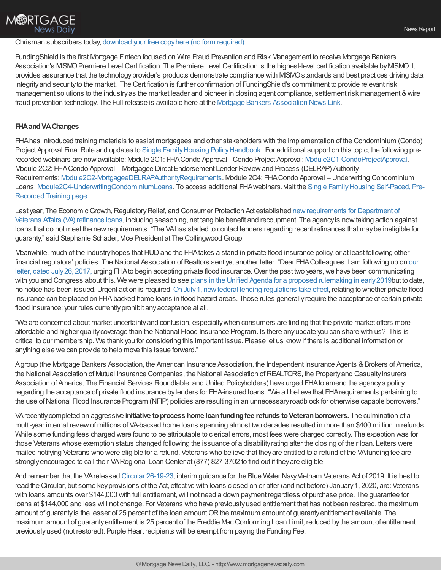### Chrisman subscribers today, [download](https://demo.himaxwell.com/9-ways-to-prepare-for-an-economic-recession) your free copyhere (no form required).

FundingShield is the first Mortgage Fintech focused on Wire Fraud Prevention and Risk Management to receive Mortgage Bankers Association's MISMO Premiere Level Certification. The Premiere Level Certification is the highest-level certification available by MISMO. It provides assurance that the technology provider's products demonstrate compliance with MISMO standards and best practices driving data integrityand securityto the market. The Certification is further confirmation of FundingShield's commitment to provide relevant risk management solutions to the industry as the market leader and pioneer in closing agent compliance, settlement risk management & wire fraud prevention technology. The Full release is available here at the Mortgage Bankers [Association](https://www.mba.org/mba-newslinks/2019/october/mba-newslink-wednesday-10-9-19/residential/fundingshield-receives-mismo-software-certification-for-wire-fraud-prevention-technology) News Link.

## **FHAandVAChanges**

FHAhas introduced training materials to assist mortgagees and other stakeholders with the implementation of the Condominium (Condo) Project Approval Final Rule and updates to Single Family Housing Policy Handbook. For additional support on this topic, the following prerecorded webinars are nowavailable: Module 2C1: FHACondo Approval –Condo Project Approval: [Module2C1-CondoProjectApproval.](http://easthillmedia.com/home/hud236813424) Module 2C2: FHACondo Approval – Mortgagee Direct Endorsement Lender Reviewand Process (DELRAP) Authority Requirements: [Module2C2-MortgageeDELRAPAuthorityRequirements](http://easthillmedia.com/home/hud872372010/). Module 2C4: FHACondo Approval – Underwriting Condominium Loans: [M](https://www.hud.gov/program_offices/housing/sfh/events/sfh_hb_webinars)[odule2C4-UnderwritingCondominiumLoans](http://easthillmedia.com/home/hud323679945/)[.](https://www.hud.gov/program_offices/housing/sfh/events/sfh_hb_webinars) To access additional FHA webinars, visit the Single Family Housing Self-Paced, Pre-Recorded Training page.

Last year, The Economic Growth, Regulatory Relief, and Consumer Protection Act established new requirements for Department of Veterans Affairs (VA) refinance loans, including seasoning, net tangible benefit and recoupment. The agencyis nowtaking action against loans that do not meet the new requirements. "The VA has started to contact lenders regarding recent refinances that may be ineligible for guaranty," said Stephanie Schader, Vice President at The Collingwood Group.

Meanwhile, much of the industry hopes that HUD and the FHA takes a stand in private flood insurance policy, or at least following other financial regulators' policies. The National Association of Realtors sent yet another letter. "Dear FHA Colleagues: I am following up on our letter, dated July 26, 2017, urging FHA to begin accepting private flood insurance. Over the past two years, we have been communicating with you and Congress about this. We were pleased to see plans in the Unified Agenda for a proposed [rulemaking](https://nam02.safelinks.protection.outlook.com/?url=https%253A%252F%252Fwww.reginfo.gov%252Fpublic%252Fdo%252FeAgendaViewRule%253FpubId%253D201810%2526RIN%253D2502-AJ43&data=01%257C01%257CJVentrone%2540realtors.org%257Cbdf3452ec67f4dcac96908d6bde928f0%257C508bf1e00926458aa1eeccfb79f409c6%257C0&sdata=I0BBjHsAuA%252BrW%252FqlKKZc73nQuLCmNS%252Bk%252FWxkVf0qjX0%253D&reserved=0) in early 2019but to date, no notice has been issued. Urgent action is required: On July 1, new federal lending regulations take effect, relating to whether private flood insurance can be placed on FHA-backed home loans in flood hazard areas. Those rules generallyrequire the acceptance of certain private flood insurance; your rules currently prohibit any acceptance at all.

"We are concerned about market uncertaintyand confusion, especiallywhen consumers are finding that the private market offers more affordable and higher qualitycoverage than the National Flood Insurance Program. Is there anyupdate you can share with us? This is critical to our membership. We thank you for considering this important issue. Please let us knowif there is additional information or anything else we can provide to help move this issue forward."

Agroup (the Mortgage Bankers Association, the American Insurance Association, the Independent Insurance Agents & Brokers of America, the National Association of Mutual Insurance Companies, the National Association of REALTORS, the Property and Casualty Insurers Association of America, The Financial Services Roundtable, and United Policyholders) have urged FHA to amend the agency's policy regarding the acceptance of private flood insurance bylenders for FHA-insured loans. "We all believe that FHArequirements pertaining to the use of National Flood Insurance Program (NFIP) policies are resulting in an unnecessary roadblock for otherwise capable borrowers."

VArecentlycompleted an aggressive **initiative toprocess home loanfundingfee refunds toVeteranborrowers.** The culmination of a multi-year internal reviewof millions of VA-backed home loans spanning almost two decades resulted in more than \$400 million in refunds. While some funding fees charged were found to be attributable to clerical errors, most fees were charged correctly. The exception was for those Veterans whose exemption status changed following the issuance of a disabilityrating after the closing of their loan. Letters were mailed notifying Veterans who were eligible for a refund. Veterans who believe that theyare entitled to a refund of the VAfunding fee are strongly encouraged to call their VA Regional Loan Center at (877) 827-3702 to find out if they are eligible.

And remember that the VA released Circular [26-19-23,](https://www.benefits.va.gov/homeloans/documents/circulars/26_19_23.pdf) interim guidance for the Blue Water Navy Vietnam Veterans Act of 2019. It is best to read the Circular, but some key provisions of the Act, effective with loans closed on or after (and not before) January 1, 2020, are: Veterans with loans amounts over \$144,000 with full entitlement, will not need a down payment regardless of purchase price. The guarantee for loans at \$144,000 and less will not change. For Veterans who have previouslyused entitlement that has not been restored, the maximum amount of guaranty is the lesser of 25 percent of the loan amount OR the maximum amount of guaranty entitlement available. The maximum amount of guarantyentitlement is 25 percent of the Freddie MacConforming Loan Limit, reduced bythe amount of entitlement previouslyused (not restored). Purple Heart recipients will be exempt from paying the Funding Fee.